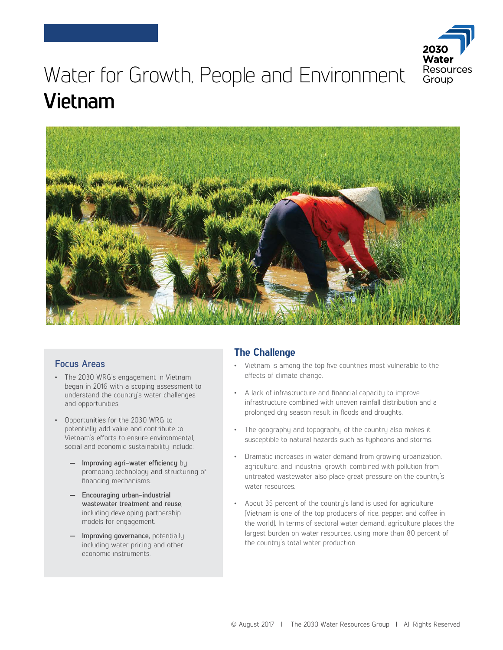

# Water for Growth, People and Environment **Vietnam**



#### **Focus Areas**

- The 2030 WRG's engagement in Vietnam began in 2016 with a scoping assessment to understand the country's water challenges and opportunities.
- Opportunities for the 2030 WRG to potentially add value and contribute to Vietnam's efforts to ensure environmental, social and economic sustainability include:
	- **— Improving agri-water efficiency** by promoting technology and structuring of financing mechanisms.
	- **— Encouraging urban-industrial wastewater treatment and reuse**, including developing partnership models for engagement.
	- **— Improving governance,** potentially including water pricing and other economic instruments.

## **The Challenge**

- Vietnam is among the top five countries most vulnerable to the effects of climate change.
- A lack of infrastructure and financial capacity to improve infrastructure combined with uneven rainfall distribution and a prolonged dry season result in floods and droughts.
- The geography and topography of the country also makes it susceptible to natural hazards such as typhoons and storms.
- Dramatic increases in water demand from growing urbanization, agriculture, and industrial growth, combined with pollution from untreated wastewater also place great pressure on the country's water resources.
- About 35 percent of the country's land is used for agriculture (Vietnam is one of the top producers of rice, pepper, and coffee in the world). In terms of sectoral water demand, agriculture places the largest burden on water resources, using more than 80 percent of the country's total water production.